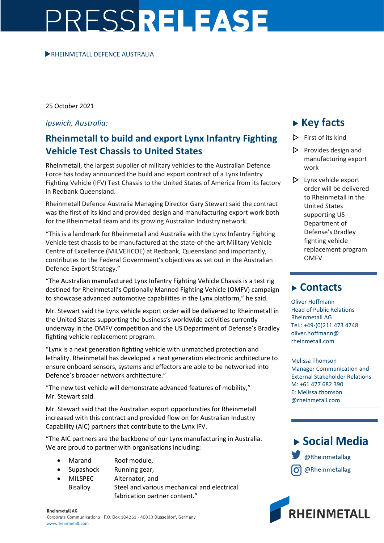# PRESSRELEASE

#### **RHEINMETALL DEFENCE AUSTRALIA**

25 October 2021

#### *Ipswich, Australia:*

### **Rheinmetall to build and export Lynx Infantry Fighting Vehicle Test Chassis to United States**

Rheinmetall, the largest supplier of military vehicles to the Australian Defence Force has today announced the build and export contract of a Lynx Infantry Fighting Vehicle (IFV) Test Chassis to the United States of America from its factory in Redbank Queensland.

Rheinmetall Defence Australia Managing Director Gary Stewart said the contract was the first of its kind and provided design and manufacturing export work both for the Rheinmetall team and its growing Australian Industry network.

"This is a landmark for Rheinmetall and Australia with the Lynx Infantry Fighting Vehicle test chassis to be manufactured at the state-of-the-art Military Vehicle Centre of Excellence (MILVEHCOE) at Redbank, Queensland and importantly, contributes to the Federal Government's objectives as set out in the Australian Defence Export Strategy."

"The Australian manufactured Lynx Infantry Fighting Vehicle Chassis is a test rig destined for Rheinmetall's Optionally Manned Fighting Vehicle (OMFV) campaign to showcase advanced automotive capabilities in the Lynx platform," he said.

Mr. Stewart said the Lynx vehicle export order will be delivered to Rheinmetall in the United States supporting the business's worldwide activities currently underway in the OMFV competition and the US Department of Defense's Bradley fighting vehicle replacement program.

"Lynx is a next generation fighting vehicle with unmatched protection and lethality. Rheinmetall has developed a next generation electronic architecture to ensure onboard sensors, systems and effectors are able to be networked into Defence's broader network architecture."

"The new test vehicle will demonstrate advanced features of mobility," Mr. Stewart said.

Mr. Stewart said that the Australian export opportunities for Rheinmetall increased with this contract and provided flow on for Australian Industry Capability (AIC) partners that contribute to the Lynx IFV.

"The AIC partners are the backbone of our Lynx manufacturing in Australia. We are proud to partner with organisations including:

- Marand Roof module,
- Supashock Running gear,
- MILSPEC Alternator, and Bisalloy Steel and various mechanical and electrical fabrication partner content."

work  $\triangleright$  Lynx vehicle export

**Key facts**

 $\triangleright$  First of its kind

 $\triangleright$  Provides design and manufacturing export

order will be delivered to Rheinmetall in the United States supporting US Department of Defense's Bradley fighting vehicle replacement program OMFV

## **Contacts**

Oliver Hoffmann Head of Public Relations Rheinmetall AG Tel.: +49-(0)211 473 4748 oliver.hoffmann@ rheinmetall.com

Melissa Thomson Manager Communication and External Stakeholder Relations M: +61 477 682 390 E: Melissa.thomson @rheinmetall.com

# $\triangleright$  Social Media @Rheinmetallag @Rheinmetallag